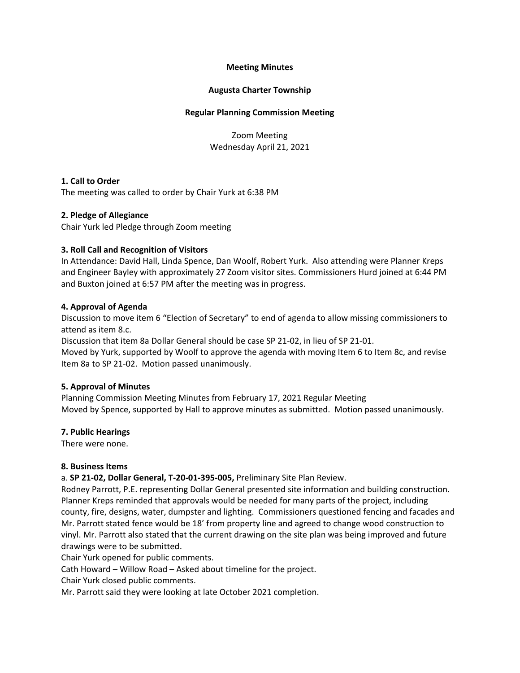# **Meeting Minutes**

## **Augusta Charter Township**

### **Regular Planning Commission Meeting**

Zoom Meeting Wednesday April 21, 2021

## **1. Call to Order**

The meeting was called to order by Chair Yurk at 6:38 PM

## **2. Pledge of Allegiance**

Chair Yurk led Pledge through Zoom meeting

## **3. Roll Call and Recognition of Visitors**

In Attendance: David Hall, Linda Spence, Dan Woolf, Robert Yurk. Also attending were Planner Kreps and Engineer Bayley with approximately 27 Zoom visitor sites. Commissioners Hurd joined at 6:44 PM and Buxton joined at 6:57 PM after the meeting was in progress.

## **4. Approval of Agenda**

Discussion to move item 6 "Election of Secretary" to end of agenda to allow missing commissioners to attend as item 8.c.

Discussion that item 8a Dollar General should be case SP 21-02, in lieu of SP 21-01.

Moved by Yurk, supported by Woolf to approve the agenda with moving Item 6 to Item 8c, and revise Item 8a to SP 21-02. Motion passed unanimously.

#### **5. Approval of Minutes**

Planning Commission Meeting Minutes from February 17, 2021 Regular Meeting Moved by Spence, supported by Hall to approve minutes as submitted. Motion passed unanimously.

#### **7. Public Hearings**

There were none.

#### **8. Business Items**

a. **SP 21-02, Dollar General, T-20-01-395-005,** Preliminary Site Plan Review.

Rodney Parrott, P.E. representing Dollar General presented site information and building construction. Planner Kreps reminded that approvals would be needed for many parts of the project, including county, fire, designs, water, dumpster and lighting. Commissioners questioned fencing and facades and Mr. Parrott stated fence would be 18' from property line and agreed to change wood construction to vinyl. Mr. Parrott also stated that the current drawing on the site plan was being improved and future drawings were to be submitted.

Chair Yurk opened for public comments.

Cath Howard – Willow Road – Asked about timeline for the project.

Chair Yurk closed public comments.

Mr. Parrott said they were looking at late October 2021 completion.